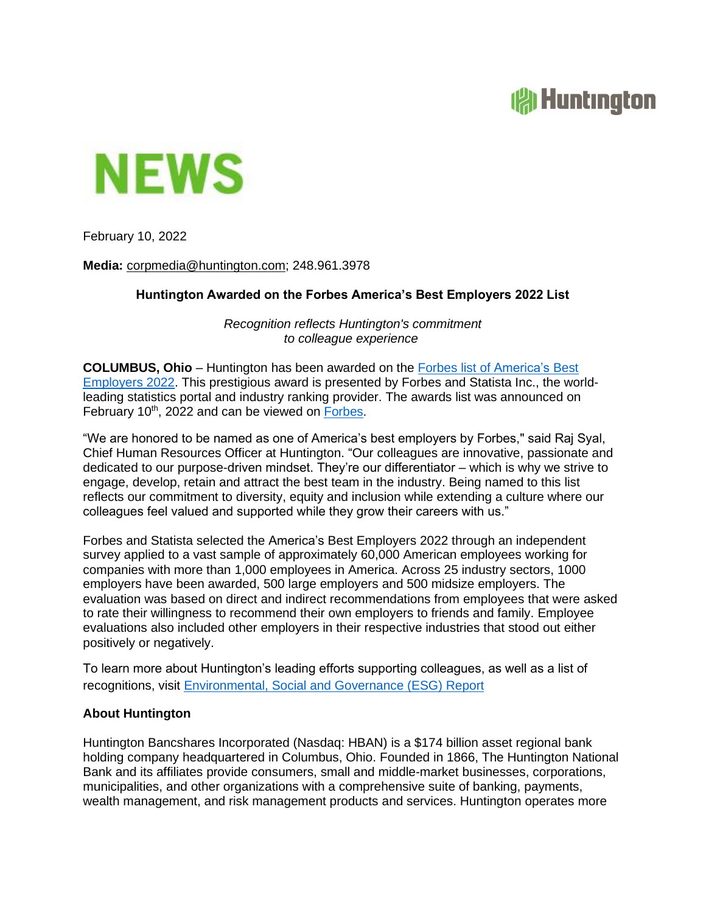## **All Huntington**



February 10, 2022

**Media:** [corpmedia@huntington.com;](mailto:corpmedia@huntington.com) 248.961.3978

## **Huntington Awarded on the Forbes America's Best Employers 2022 List**

*Recognition reflects Huntington's commitment to colleague experience*

**COLUMBUS, Ohio** – Huntington has been awarded on the Forbes list of [America's](https://www.forbes.com/lists/best-large-employers/?sh=56dae6517b66) Best [Employers](https://www.forbes.com/lists/best-large-employers/?sh=56dae6517b66) 2022. This prestigious award is presented by Forbes and Statista Inc., the worldleading statistics portal and industry ranking provider. The awards list was announced on February 10<sup>th</sup>, 2022 and can be viewed on [Forbes](https://www.forbes.com/sites/samanthatodd/2022/02/10/americas-best-employers-2022-methodology-trends-and-what-makes-a-top-employer/?sh=35d9bad81673).

"We are honored to be named as one of America's best employers by Forbes," said Raj Syal, Chief Human Resources Officer at Huntington. "Our colleagues are innovative, passionate and dedicated to our purpose-driven mindset. They're our differentiator – which is why we strive to engage, develop, retain and attract the best team in the industry. Being named to this list reflects our commitment to diversity, equity and inclusion while extending a culture where our colleagues feel valued and supported while they grow their careers with us."

Forbes and Statista selected the America's Best Employers 2022 through an independent survey applied to a vast sample of approximately 60,000 American employees working for companies with more than 1,000 employees in America. Across 25 industry sectors, 1000 employers have been awarded, 500 large employers and 500 midsize employers. The evaluation was based on direct and indirect recommendations from employees that were asked to rate their willingness to recommend their own employers to friends and family. Employee evaluations also included other employers in their respective industries that stood out either positively or negatively.

To learn more about Huntington's leading efforts supporting colleagues, as well as a list of recognitions, visit [Environmental, Social and Governance \(ESG\) Report](https://www.huntington.com/About-Us/environmental-social-governance-report)

## **About Huntington**

Huntington Bancshares Incorporated (Nasdaq: HBAN) is a \$174 billion asset regional bank holding company headquartered in Columbus, Ohio. Founded in 1866, The Huntington National Bank and its affiliates provide consumers, small and middle-market businesses, corporations, municipalities, and other organizations with a comprehensive suite of banking, payments, wealth management, and risk management products and services. Huntington operates more